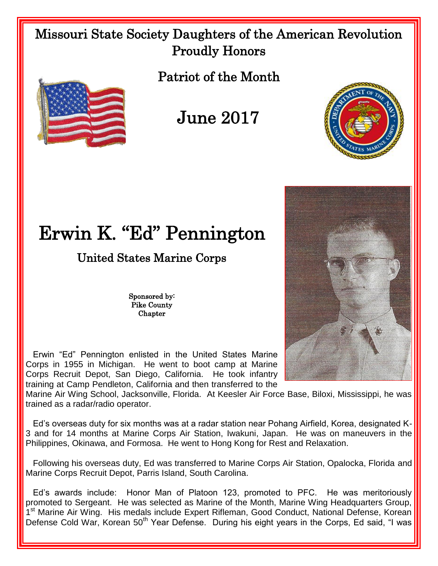## Missouri State Society Daughters of the American Revolution Proudly Honors





June 2017



## Erwin K. "Ed" Pennington

## United States Marine Corps

Sponsored by: Pike County **Chapter** 

 Erwin "Ed" Pennington enlisted in the United States Marine Corps in 1955 in Michigan. He went to boot camp at Marine Corps Recruit Depot, San Diego, California. He took infantry training at Camp Pendleton, California and then transferred to the

Marine Air Wing School, Jacksonville, Florida. At Keesler Air Force Base, Biloxi, Mississippi, he was trained as a radar/radio operator.

 Ed's overseas duty for six months was at a radar station near Pohang Airfield, Korea, designated K-3 and for 14 months at Marine Corps Air Station, Iwakuni, Japan. He was on maneuvers in the Philippines, Okinawa, and Formosa. He went to Hong Kong for Rest and Relaxation.

 Following his overseas duty, Ed was transferred to Marine Corps Air Station, Opalocka, Florida and Marine Corps Recruit Depot, Parris Island, South Carolina.

 Ed's awards include: Honor Man of Platoon 123, promoted to PFC. He was meritoriously promoted to Sergeant. He was selected as Marine of the Month, Marine Wing Headquarters Group, 1<sup>st</sup> Marine Air Wing. His medals include Expert Rifleman, Good Conduct, National Defense, Korean Defense Cold War, Korean 50<sup>th</sup> Year Defense. During his eight years in the Corps, Ed said, "I was